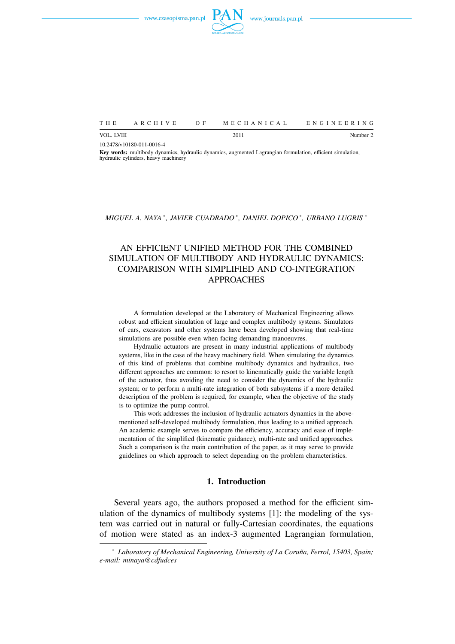



VOL. LVIII Number 2 2011 2011 2011 2012 12:00 Number 2

10.2478/v10180-011-0016-4

**Key words:** multibody dynamics, hydraulic dynamics, augmented Lagrangian formulation, efficient simulation, hydraulic cylinders, heavy machinery

# *MIGUEL A. NAYA* <sup>∗</sup> *, JAVIER CUADRADO* <sup>∗</sup> *, DANIEL DOPICO* <sup>∗</sup> *, URBANO LUGRIS* <sup>∗</sup>

# AN EFFICIENT UNIFIED METHOD FOR THE COMBINED SIMULATION OF MULTIBODY AND HYDRAULIC DYNAMICS: COMPARISON WITH SIMPLIFIED AND CO-INTEGRATION APPROACHES

A formulation developed at the Laboratory of Mechanical Engineering allows robust and efficient simulation of large and complex multibody systems. Simulators of cars, excavators and other systems have been developed showing that real-time simulations are possible even when facing demanding manoeuvres.

Hydraulic actuators are present in many industrial applications of multibody systems, like in the case of the heavy machinery field. When simulating the dynamics of this kind of problems that combine multibody dynamics and hydraulics, two different approaches are common: to resort to kinematically guide the variable length of the actuator, thus avoiding the need to consider the dynamics of the hydraulic system; or to perform a multi-rate integration of both subsystems if a more detailed description of the problem is required, for example, when the objective of the study is to optimize the pump control.

This work addresses the inclusion of hydraulic actuators dynamics in the abovementioned self-developed multibody formulation, thus leading to a unified approach. An academic example serves to compare the efficiency, accuracy and ease of implementation of the simplified (kinematic guidance), multi-rate and unified approaches. Such a comparison is the main contribution of the paper, as it may serve to provide guidelines on which approach to select depending on the problem characteristics.

# **1. Introduction**

Several years ago, the authors proposed a method for the efficient simulation of the dynamics of multibody systems [1]: the modeling of the system was carried out in natural or fully-Cartesian coordinates, the equations of motion were stated as an index-3 augmented Lagrangian formulation,

<sup>∗</sup> *Laboratory of Mechanical Engineering, University of La Coruna, Ferrol, 15403, Spain; ˜ e-mail: minaya@cdfudces*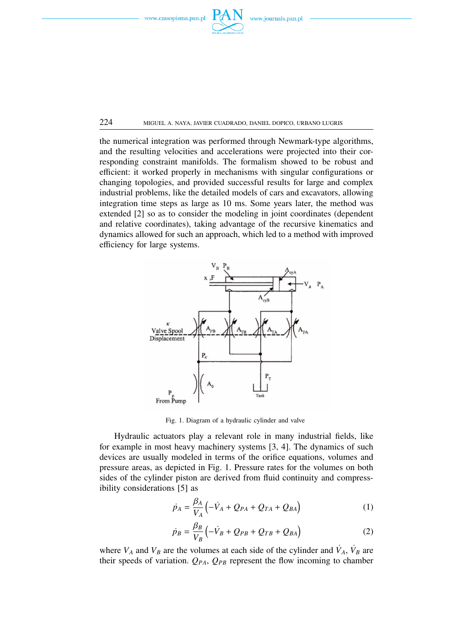

224 MIGUEL A. NAYA, JAVIER CUADRADO, DANIEL DOPICO, URBANO LUGRIS

the numerical integration was performed through Newmark-type algorithms, and the resulting velocities and accelerations were projected into their corresponding constraint manifolds. The formalism showed to be robust and efficient: it worked properly in mechanisms with singular configurations or changing topologies, and provided successful results for large and complex industrial problems, like the detailed models of cars and excavators, allowing integration time steps as large as 10 ms. Some years later, the method was extended [2] so as to consider the modeling in joint coordinates (dependent and relative coordinates), taking advantage of the recursive kinematics and dynamics allowed for such an approach, which led to a method with improved efficiency for large systems.



Fig. 1. Diagram of a hydraulic cylinder and valve

Hydraulic actuators play a relevant role in many industrial fields, like for example in most heavy machinery systems [3, 4]. The dynamics of such devices are usually modeled in terms of the orifice equations, volumes and pressure areas, as depicted in Fig. 1. Pressure rates for the volumes on both sides of the cylinder piston are derived from fluid continuity and compressibility considerations [5] as

$$
\dot{p}_A = \frac{\beta_A}{V_A} \left( -\dot{V}_A + Q_{PA} + Q_{TA} + Q_{BA} \right)
$$
 (1)

$$
\dot{p}_B = \frac{\beta_B}{V_B} \left( -\dot{V}_B + Q_{PB} + Q_{TB} + Q_{BA} \right) \tag{2}
$$

where  $V_A$  and  $V_B$  are the volumes at each side of the cylinder and  $\dot{V}_A$ ,  $\dot{V}_B$  are their speeds of variation.  $Q_{PA}$ ,  $Q_{PB}$  represent the flow incoming to chamber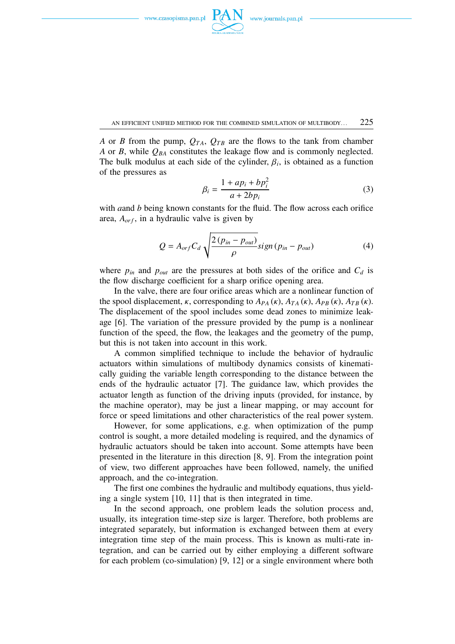

AN EFFICIENT UNIFIED METHOD FOR THE COMBINED SIMULATION OF MULTIBODY...  $225$ 

*A* or *B* from the pump,  $Q_{TA}$ ,  $Q_{TB}$  are the flows to the tank from chamber *A* or *B*, while *QBA* constitutes the leakage flow and is commonly neglected. The bulk modulus at each side of the cylinder,  $\beta_i$ , is obtained as a function of the pressures as

$$
\beta_i = \frac{1 + ap_i + bp_i^2}{a + 2bp_i} \tag{3}
$$

with *a*and *b* being known constants for the fluid. The flow across each orifice area,  $A_{orf}$ , in a hydraulic valve is given by

$$
Q = A_{orf} C_d \sqrt{\frac{2 (p_{in} - p_{out})}{\rho}} sign (p_{in} - p_{out})
$$
 (4)

where  $p_{in}$  and  $p_{out}$  are the pressures at both sides of the orifice and  $C_d$  is the flow discharge coefficient for a sharp orifice opening area.

In the valve, there are four orifice areas which are a nonlinear function of the spool displacement,  $\kappa$ , corresponding to  $A_{PA}(\kappa)$ ,  $A_{TA}(\kappa)$ ,  $A_{PB}(\kappa)$ ,  $A_{TB}(\kappa)$ . The displacement of the spool includes some dead zones to minimize leakage [6]. The variation of the pressure provided by the pump is a nonlinear function of the speed, the flow, the leakages and the geometry of the pump, but this is not taken into account in this work.

A common simplified technique to include the behavior of hydraulic actuators within simulations of multibody dynamics consists of kinematically guiding the variable length corresponding to the distance between the ends of the hydraulic actuator [7]. The guidance law, which provides the actuator length as function of the driving inputs (provided, for instance, by the machine operator), may be just a linear mapping, or may account for force or speed limitations and other characteristics of the real power system.

However, for some applications, e.g. when optimization of the pump control is sought, a more detailed modeling is required, and the dynamics of hydraulic actuators should be taken into account. Some attempts have been presented in the literature in this direction [8, 9]. From the integration point of view, two different approaches have been followed, namely, the unified approach, and the co-integration.

The first one combines the hydraulic and multibody equations, thus yielding a single system [10, 11] that is then integrated in time.

In the second approach, one problem leads the solution process and, usually, its integration time-step size is larger. Therefore, both problems are integrated separately, but information is exchanged between them at every integration time step of the main process. This is known as multi-rate integration, and can be carried out by either employing a different software for each problem (co-simulation) [9, 12] or a single environment where both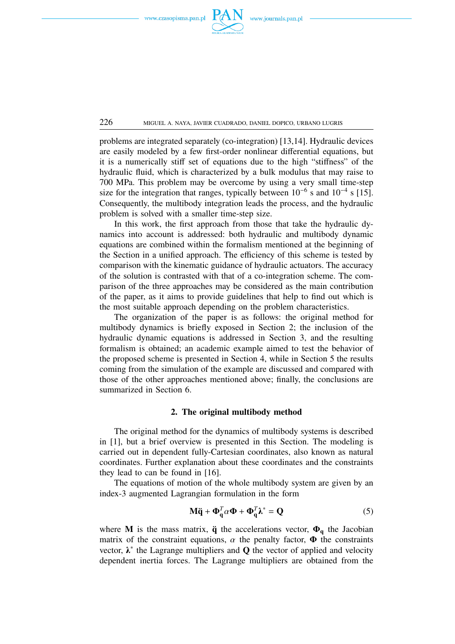

226 MIGUEL A. NAYA, JAVIER CUADRADO, DANIEL DOPICO, URBANO LUGRIS

problems are integrated separately (co-integration) [13,14]. Hydraulic devices are easily modeled by a few first-order nonlinear differential equations, but it is a numerically stiff set of equations due to the high "stiffness" of the hydraulic fluid, which is characterized by a bulk modulus that may raise to 700 MPa. This problem may be overcome by using a very small time-step size for the integration that ranges, typically between  $10^{-6}$  s and  $10^{-4}$  s [15]. Consequently, the multibody integration leads the process, and the hydraulic problem is solved with a smaller time-step size.

In this work, the first approach from those that take the hydraulic dynamics into account is addressed: both hydraulic and multibody dynamic equations are combined within the formalism mentioned at the beginning of the Section in a unified approach. The efficiency of this scheme is tested by comparison with the kinematic guidance of hydraulic actuators. The accuracy of the solution is contrasted with that of a co-integration scheme. The comparison of the three approaches may be considered as the main contribution of the paper, as it aims to provide guidelines that help to find out which is the most suitable approach depending on the problem characteristics.

The organization of the paper is as follows: the original method for multibody dynamics is briefly exposed in Section 2; the inclusion of the hydraulic dynamic equations is addressed in Section 3, and the resulting formalism is obtained; an academic example aimed to test the behavior of the proposed scheme is presented in Section 4, while in Section 5 the results coming from the simulation of the example are discussed and compared with those of the other approaches mentioned above; finally, the conclusions are summarized in Section 6.

### **2. The original multibody method**

The original method for the dynamics of multibody systems is described in [1], but a brief overview is presented in this Section. The modeling is carried out in dependent fully-Cartesian coordinates, also known as natural coordinates. Further explanation about these coordinates and the constraints they lead to can be found in [16].

The equations of motion of the whole multibody system are given by an index-3 augmented Lagrangian formulation in the form

$$
\mathbf{M}\ddot{\mathbf{q}} + \mathbf{\Phi}_{\mathbf{q}}^T \alpha \mathbf{\Phi} + \mathbf{\Phi}_{\mathbf{q}}^T \mathbf{\lambda}^* = \mathbf{Q}
$$
 (5)

where **M** is the mass matrix,  $\ddot{\mathbf{q}}$  the accelerations vector,  $\Phi_{\mathbf{q}}$  the Jacobian matrix of the constraint equations,  $\alpha$  the penalty factor,  $\Phi$  the constraints vector,  $\lambda^*$  the Lagrange multipliers and **Q** the vector of applied and velocity dependent inertia forces. The Lagrange multipliers are obtained from the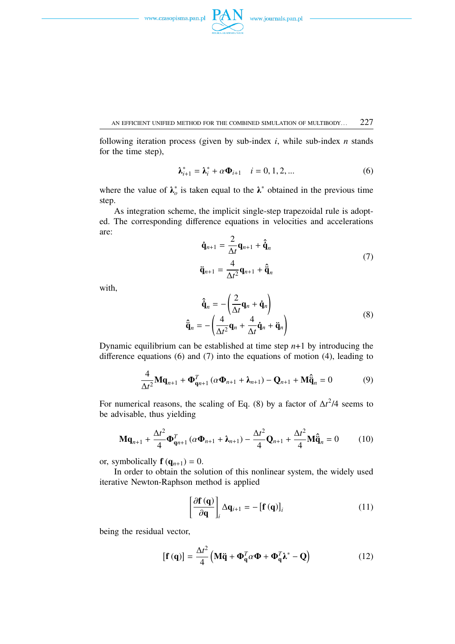

AN EFFICIENT UNIFIED METHOD FOR THE COMBINED SIMULATION OF MULTIBODY... 227

following iteration process (given by sub-index *i*, while sub-index *n* stands for the time step),

$$
\lambda_{i+1}^* = \lambda_i^* + \alpha \Phi_{i+1} \quad i = 0, 1, 2, \dots \tag{6}
$$

where the value of  $\lambda_o^*$  is taken equal to the  $\lambda^*$  obtained in the previous time step.

As integration scheme, the implicit single-step trapezoidal rule is adopted. The corresponding difference equations in velocities and accelerations are:

$$
\dot{\mathbf{q}}_{n+1} = \frac{2}{\Delta t} \mathbf{q}_{n+1} + \hat{\mathbf{q}}_n
$$
  

$$
\ddot{\mathbf{q}}_{n+1} = \frac{4}{\Delta t^2} \mathbf{q}_{n+1} + \hat{\mathbf{q}}_n
$$
 (7)

with,

$$
\hat{\mathbf{q}}_n = -\left(\frac{2}{\Delta t}\mathbf{q}_n + \dot{\mathbf{q}}_n\right)
$$
\n
$$
\hat{\mathbf{q}}_n = -\left(\frac{4}{\Delta t^2}\mathbf{q}_n + \frac{4}{\Delta t}\dot{\mathbf{q}}_n + \ddot{\mathbf{q}}_n\right)
$$
\n(8)

Dynamic equilibrium can be established at time step *n*+1 by introducing the difference equations (6) and (7) into the equations of motion (4), leading to

$$
\frac{4}{\Delta t^2} \mathbf{M} \mathbf{q}_{n+1} + \mathbf{\Phi}_{\mathbf{q}n+1}^T (\alpha \mathbf{\Phi}_{n+1} + \lambda_{n+1}) - \mathbf{Q}_{n+1} + \mathbf{M} \hat{\mathbf{q}}_n = 0
$$
 (9)

For numerical reasons, the scaling of Eq. (8) by a factor of  $\Delta t^2/4$  seems to be advisable, thus yielding

$$
\mathbf{M}\mathbf{q}_{n+1} + \frac{\Delta t^2}{4}\mathbf{\Phi}_{\mathbf{q}n+1}^T \left( \alpha \mathbf{\Phi}_{n+1} + \mathbf{\lambda}_{n+1} \right) - \frac{\Delta t^2}{4}\mathbf{Q}_{n+1} + \frac{\Delta t^2}{4}\mathbf{M}\hat{\mathbf{q}}_n = 0 \tag{10}
$$

or, symbolically  $f(q_{n+1}) = 0$ .

In order to obtain the solution of this nonlinear system, the widely used iterative Newton-Raphson method is applied

$$
\left[\frac{\partial \mathbf{f}(\mathbf{q})}{\partial \mathbf{q}}\right]_i \Delta \mathbf{q}_{i+1} = -\left[\mathbf{f}(\mathbf{q})\right]_i \tag{11}
$$

being the residual vector,

$$
[\mathbf{f}(\mathbf{q})] = \frac{\Delta t^2}{4} (\mathbf{M}\ddot{\mathbf{q}} + \mathbf{\Phi}_\mathbf{q}^T \alpha \mathbf{\Phi} + \mathbf{\Phi}_\mathbf{q}^T \mathbf{\lambda}^* - \mathbf{Q})
$$
(12)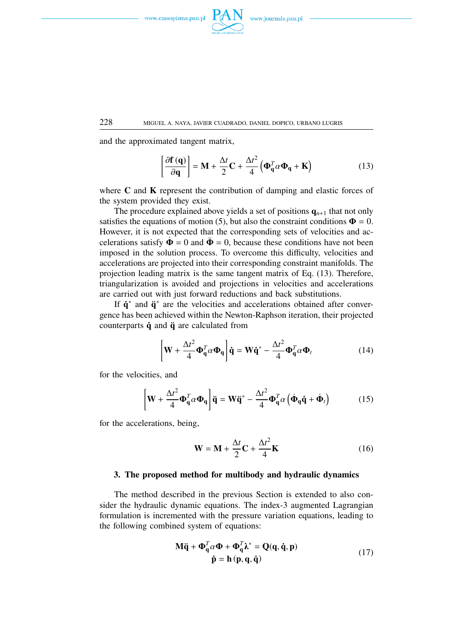

228 MIGUEL A. NAYA, JAVIER CUADRADO, DANIEL DOPICO, URBANO LUGRIS

and the approximated tangent matrix,

$$
\left[\frac{\partial \mathbf{f}(\mathbf{q})}{\partial \mathbf{q}}\right] = \mathbf{M} + \frac{\Delta t}{2} \mathbf{C} + \frac{\Delta t^2}{4} \left(\mathbf{\Phi}_\mathbf{q}^T \alpha \mathbf{\Phi}_\mathbf{q} + \mathbf{K}\right)
$$
(13)

where **C** and **K** represent the contribution of damping and elastic forces of the system provided they exist.

The procedure explained above yields a set of positions  $q_{n+1}$  that not only satisfies the equations of motion (5), but also the constraint conditions  $\Phi = 0$ . However, it is not expected that the corresponding sets of velocities and accelerations satisfy  $\dot{\Phi} = 0$  and  $\ddot{\Phi} = 0$ , because these conditions have not been imposed in the solution process. To overcome this difficulty, velocities and accelerations are projected into their corresponding constraint manifolds. The projection leading matrix is the same tangent matrix of Eq. (13). Therefore, triangularization is avoided and projections in velocities and accelerations are carried out with just forward reductions and back substitutions.

If **q**<sup>\*</sup> and **q**<sup>\*</sup> are the velocities and accelerations obtained after convergence has been achieved within the Newton-Raphson iteration, their projected counterparts  $\dot{q}$  and  $\ddot{q}$  are calculated from

$$
\left[\mathbf{W} + \frac{\Delta t^2}{4} \boldsymbol{\Phi}_\mathbf{q}^T \boldsymbol{\alpha} \boldsymbol{\Phi}_\mathbf{q}\right] \dot{\mathbf{q}} = \mathbf{W} \dot{\mathbf{q}}^* - \frac{\Delta t^2}{4} \boldsymbol{\Phi}_\mathbf{q}^T \boldsymbol{\alpha} \boldsymbol{\Phi}_t
$$
 (14)

for the velocities, and

$$
\left[\mathbf{W} + \frac{\Delta t^2}{4} \boldsymbol{\Phi}_{\mathbf{q}}^T \boldsymbol{\alpha} \boldsymbol{\Phi}_{\mathbf{q}}\right] \ddot{\mathbf{q}} = \mathbf{W} \ddot{\mathbf{q}}^* - \frac{\Delta t^2}{4} \boldsymbol{\Phi}_{\mathbf{q}}^T \boldsymbol{\alpha} \left(\dot{\boldsymbol{\Phi}}_{\mathbf{q}} \dot{\mathbf{q}} + \dot{\boldsymbol{\Phi}}_t\right) \tag{15}
$$

for the accelerations, being,

$$
\mathbf{W} = \mathbf{M} + \frac{\Delta t}{2} \mathbf{C} + \frac{\Delta t^2}{4} \mathbf{K}
$$
 (16)

## **3. The proposed method for multibody and hydraulic dynamics**

The method described in the previous Section is extended to also consider the hydraulic dynamic equations. The index-3 augmented Lagrangian formulation is incremented with the pressure variation equations, leading to the following combined system of equations:

$$
\mathbf{M}\ddot{\mathbf{q}} + \mathbf{\Phi}_{\mathbf{q}}^T \alpha \mathbf{\Phi} + \mathbf{\Phi}_{\mathbf{q}}^T \lambda^* = \mathbf{Q}(\mathbf{q}, \dot{\mathbf{q}}, \mathbf{p})
$$
\n
$$
\dot{\mathbf{p}} = \mathbf{h}(\mathbf{p}, \mathbf{q}, \dot{\mathbf{q}})
$$
\n(17)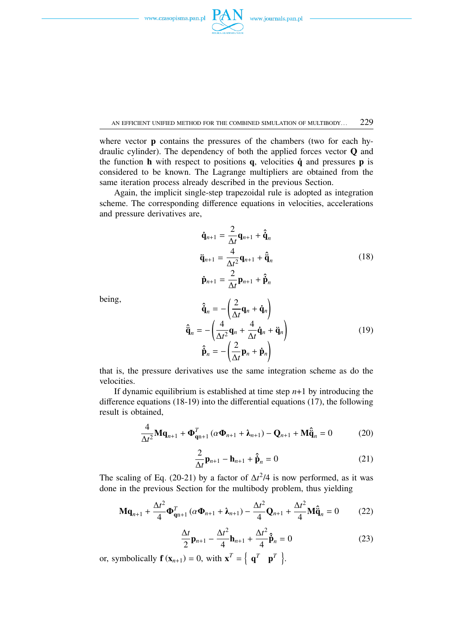

AN EFFICIENT UNIFIED METHOD FOR THE COMBINED SIMULATION OF MULTIBODY... 229

where vector **p** contains the pressures of the chambers (two for each hydraulic cylinder). The dependency of both the applied forces vector **Q** and the function **h** with respect to positions **q**, velocities  $\dot{\mathbf{q}}$  and pressures **p** is considered to be known. The Lagrange multipliers are obtained from the same iteration process already described in the previous Section.

Again, the implicit single-step trapezoidal rule is adopted as integration scheme. The corresponding difference equations in velocities, accelerations and pressure derivatives are,

$$
\dot{\mathbf{q}}_{n+1} = \frac{2}{\Delta t} \mathbf{q}_{n+1} + \hat{\mathbf{q}}_n
$$
\n
$$
\ddot{\mathbf{q}}_{n+1} = \frac{4}{\Delta t^2} \mathbf{q}_{n+1} + \hat{\mathbf{q}}_n
$$
\n
$$
\dot{\mathbf{p}}_{n+1} = \frac{2}{\Delta t} \mathbf{p}_{n+1} + \hat{\mathbf{p}}_n
$$
\n(18)

being,

$$
\hat{\mathbf{q}}_n = -\left(\frac{2}{\Delta t}\mathbf{q}_n + \dot{\mathbf{q}}_n\right)
$$
\n
$$
\hat{\mathbf{q}}_n = -\left(\frac{4}{\Delta t^2}\mathbf{q}_n + \frac{4}{\Delta t}\dot{\mathbf{q}}_n + \ddot{\mathbf{q}}_n\right)
$$
\n
$$
\hat{\mathbf{p}}_n = -\left(\frac{2}{\Delta t}\mathbf{p}_n + \dot{\mathbf{p}}_n\right)
$$
\n(19)

that is, the pressure derivatives use the same integration scheme as do the velocities.

If dynamic equilibrium is established at time step  $n+1$  by introducing the difference equations (18-19) into the differential equations (17), the following result is obtained,

$$
\frac{4}{\Delta t^2} \mathbf{M} \mathbf{q}_{n+1} + \mathbf{\Phi}_{\mathbf{q}n+1}^T \left( \alpha \mathbf{\Phi}_{n+1} + \mathbf{\lambda}_{n+1} \right) - \mathbf{Q}_{n+1} + \mathbf{M} \hat{\mathbf{q}}_n = 0 \tag{20}
$$

$$
\frac{2}{\Delta t}\mathbf{p}_{n+1} - \mathbf{h}_{n+1} + \hat{\mathbf{p}}_n = 0
$$
 (21)

The scaling of Eq. (20-21) by a factor of  $\Delta t^2/4$  is now performed, as it was done in the previous Section for the multibody problem, thus yielding

$$
\mathbf{M}\mathbf{q}_{n+1} + \frac{\Delta t^2}{4} \mathbf{\Phi}_{\mathbf{q}n+1}^T (\alpha \mathbf{\Phi}_{n+1} + \lambda_{n+1}) - \frac{\Delta t^2}{4} \mathbf{Q}_{n+1} + \frac{\Delta t^2}{4} \mathbf{M} \hat{\mathbf{q}}_n = 0 \tag{22}
$$

$$
\frac{\Delta t}{2}\mathbf{p}_{n+1} - \frac{\Delta t^2}{4}\mathbf{h}_{n+1} + \frac{\Delta t^2}{4}\mathbf{\hat{p}}_n = 0
$$
\n(23)

.

or, symbolically  $f(x_{n+1}) = 0$ , with  $x^T =$  $\mathbf{q}^T \quad \mathbf{p}^T \quad \}$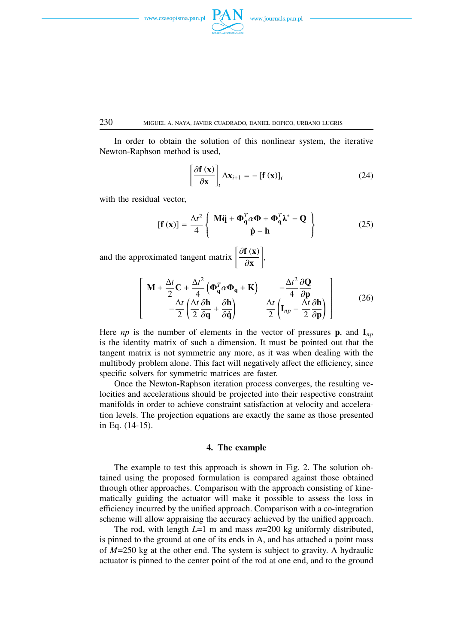



## 230 MIGUEL A. NAYA, JAVIER CUADRADO, DANIEL DOPICO, URBANO LUGRIS

In order to obtain the solution of this nonlinear system, the iterative Newton-Raphson method is used,

$$
\left[\frac{\partial \mathbf{f}(\mathbf{x})}{\partial \mathbf{x}}\right]_i \Delta \mathbf{x}_{i+1} = -\left[\mathbf{f}(\mathbf{x})\right]_i \tag{24}
$$

with the residual vector,

$$
\begin{bmatrix} \mathbf{f}(\mathbf{x}) \end{bmatrix} = \frac{\Delta t^2}{4} \begin{Bmatrix} \mathbf{M}\ddot{\mathbf{q}} + \boldsymbol{\Phi}_\mathbf{q}^T \boldsymbol{\alpha} \boldsymbol{\Phi} + \boldsymbol{\Phi}_\mathbf{q}^T \boldsymbol{\lambda}^* - \mathbf{Q} \\ \dot{\mathbf{p}} - \mathbf{h} \end{Bmatrix}
$$
(25)

,

and the approximated tangent matrix  $\left[\frac{\partial \mathbf{f}(\mathbf{x})}{\partial \mathbf{x}}\right]$ ∂**x**

$$
\left[\mathbf{M} + \frac{\Delta t}{2}\mathbf{C} + \frac{\Delta t^2}{4}\left(\mathbf{\Phi}_\mathbf{q}^T\boldsymbol{\alpha}\mathbf{\Phi}_\mathbf{q} + \mathbf{K}\right) - \frac{\Delta t^2}{4}\frac{\partial \mathbf{Q}}{\partial \mathbf{p}} - \frac{\Delta t}{2}\left(\frac{\Delta t}{2}\frac{\partial \mathbf{h}}{\partial \mathbf{q}} + \frac{\partial \mathbf{h}}{\partial \mathbf{\dot{q}}}\right) - \frac{\Delta t}{2}\left(\mathbf{I}_{np} - \frac{\Delta t}{2}\frac{\partial \mathbf{h}}{\partial \mathbf{p}}\right)\right]
$$
(26)

Here *np* is the number of elements in the vector of pressures **p**, and  $I_{np}$ is the identity matrix of such a dimension. It must be pointed out that the tangent matrix is not symmetric any more, as it was when dealing with the multibody problem alone. This fact will negatively affect the efficiency, since specific solvers for symmetric matrices are faster.

Once the Newton-Raphson iteration process converges, the resulting velocities and accelerations should be projected into their respective constraint manifolds in order to achieve constraint satisfaction at velocity and acceleration levels. The projection equations are exactly the same as those presented in Eq. (14-15).

## **4. The example**

The example to test this approach is shown in Fig. 2. The solution obtained using the proposed formulation is compared against those obtained through other approaches. Comparison with the approach consisting of kinematically guiding the actuator will make it possible to assess the loss in efficiency incurred by the unified approach. Comparison with a co-integration scheme will allow appraising the accuracy achieved by the unified approach.

The rod, with length *L*=1 m and mass *m*=200 kg uniformly distributed, is pinned to the ground at one of its ends in A, and has attached a point mass of *M*=250 kg at the other end. The system is subject to gravity. A hydraulic actuator is pinned to the center point of the rod at one end, and to the ground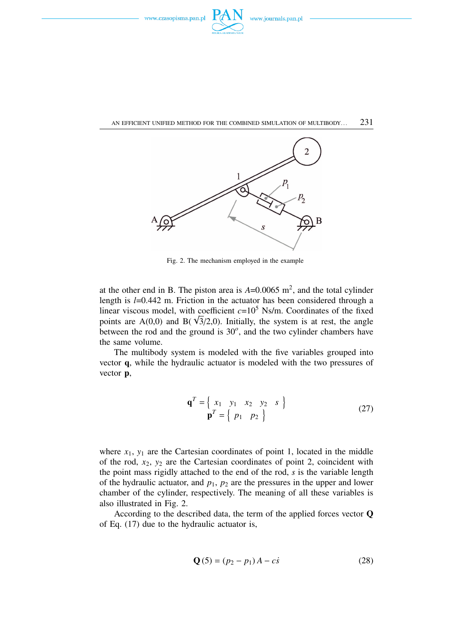



Fig. 2. The mechanism employed in the example

at the other end in B. The piston area is  $A=0.0065$  m<sup>2</sup>, and the total cylinder length is *l*=0.442 m. Friction in the actuator has been considered through a linear viscous model, with coefficient  $c=10^5$  Ns/m. Coordinates of the fixed linear viscous model, with coefficient  $c=10^{\circ}$  Ns/m. Coordinates of the fixed points are A(0,0) and B( $\sqrt{3}/2,0$ ). Initially, the system is at rest, the angle between the rod and the ground is  $30^\circ$ , and the two cylinder chambers have the same volume.

The multibody system is modeled with the five variables grouped into vector **q**, while the hydraulic actuator is modeled with the two pressures of vector **p**,

$$
\mathbf{q}^T = \begin{cases} x_1 & y_1 & x_2 & y_2 & s \\ p^T = \begin{cases} p_1 & p_2 \end{cases} \end{cases}
$$
 (27)

where  $x_1$ ,  $y_1$  are the Cartesian coordinates of point 1, located in the middle of the rod,  $x_2$ ,  $y_2$  are the Cartesian coordinates of point 2, coincident with the point mass rigidly attached to the end of the rod, *s* is the variable length of the hydraulic actuator, and  $p_1$ ,  $p_2$  are the pressures in the upper and lower chamber of the cylinder, respectively. The meaning of all these variables is also illustrated in Fig. 2.

According to the described data, the term of the applied forces vector **Q** of Eq. (17) due to the hydraulic actuator is,

$$
\mathbf{Q}(5) = (p_2 - p_1)A - c\dot{s}
$$
 (28)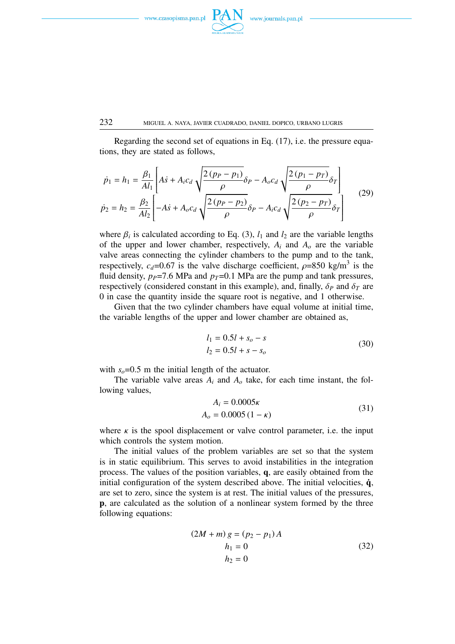

Regarding the second set of equations in Eq. (17), i.e. the pressure equations, they are stated as follows,

$$
\dot{p}_1 = h_1 = \frac{\beta_1}{Al_1} \left[ As + A_i c_d \sqrt{\frac{2 (p_P - p_1)}{\rho}} \delta_P - A_o c_d \sqrt{\frac{2 (p_1 - p_T)}{\rho}} \delta_T \right]
$$
  
\n
$$
\dot{p}_2 = h_2 = \frac{\beta_2}{Al_2} \left[ -As + A_o c_d \sqrt{\frac{2 (p_P - p_2)}{\rho}} \delta_P - A_i c_d \sqrt{\frac{2 (p_2 - p_T)}{\rho}} \delta_T \right]
$$
(29)

where  $\beta_i$  is calculated according to Eq. (3),  $l_1$  and  $l_2$  are the variable lengths of the upper and lower chamber, respectively,  $A_i$  and  $A_o$  are the variable valve areas connecting the cylinder chambers to the pump and to the tank, respectively,  $c_d$ =0.67 is the valve discharge coefficient,  $\rho$ =850 kg/m<sup>3</sup> is the fluid density,  $p_P$ =7.6 MPa and  $p_T$ =0.1 MPa are the pump and tank pressures, respectively (considered constant in this example), and, finally,  $\delta_P$  and  $\delta_T$  are 0 in case the quantity inside the square root is negative, and 1 otherwise.

Given that the two cylinder chambers have equal volume at initial time, the variable lengths of the upper and lower chamber are obtained as,

$$
l_1 = 0.5l + s_o - s
$$
  
\n
$$
l_2 = 0.5l + s - s_o
$$
\n(30)

with  $s<sub>o</sub>=0.5$  m the initial length of the actuator.

The variable valve areas  $A_i$  and  $A_o$  take, for each time instant, the following values,

$$
A_i = 0.0005\kappa
$$
  

$$
A_o = 0.0005(1 - \kappa)
$$
 (31)

where  $\kappa$  is the spool displacement or valve control parameter, i.e. the input which controls the system motion.

The initial values of the problem variables are set so that the system is in static equilibrium. This serves to avoid instabilities in the integration process. The values of the position variables, **q**, are easily obtained from the initial configuration of the system described above. The initial velocities,  $\dot{q}$ , are set to zero, since the system is at rest. The initial values of the pressures, **p**, are calculated as the solution of a nonlinear system formed by the three following equations:

$$
(2M + m) g = (p_2 - p_1) A
$$
  
 
$$
h_1 = 0
$$
  
 
$$
h_2 = 0
$$
 (32)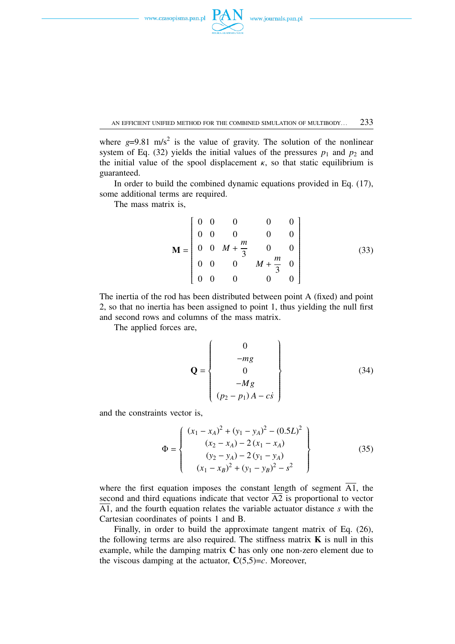

AN EFFICIENT UNIFIED METHOD FOR THE COMBINED SIMULATION OF MULTIBODY... 233

where  $g=9.81 \text{ m/s}^2$  is the value of gravity. The solution of the nonlinear system of Eq. (32) yields the initial values of the pressures  $p_1$  and  $p_2$  and the initial value of the spool displacement  $\kappa$ , so that static equilibrium is guaranteed.

In order to build the combined dynamic equations provided in Eq. (17), some additional terms are required.

The mass matrix is,

$$
\mathbf{M} = \begin{bmatrix} 0 & 0 & 0 & 0 & 0 \\ 0 & 0 & 0 & 0 & 0 \\ 0 & 0 & M + \frac{m}{3} & 0 & 0 \\ 0 & 0 & 0 & M + \frac{m}{3} & 0 \\ 0 & 0 & 0 & 0 & 0 \end{bmatrix}
$$
(33)

The inertia of the rod has been distributed between point A (fixed) and point 2, so that no inertia has been assigned to point 1, thus yielding the null first and second rows and columns of the mass matrix.

The applied forces are,

$$
\mathbf{Q} = \begin{Bmatrix} 0 \\ -mg \\ 0 \\ -Mg \\ (p_2 - p_1)A - cs \end{Bmatrix}
$$
 (34)

and the constraints vector is,

$$
\Phi = \begin{cases}\n(x_1 - x_A)^2 + (y_1 - y_A)^2 - (0.5L)^2 \\
(x_2 - x_A) - 2(x_1 - x_A) \\
(y_2 - y_A) - 2(y_1 - y_A) \\
(x_1 - x_B)^2 + (y_1 - y_B)^2 - s^2\n\end{cases}
$$
\n(35)

where the first equation imposes the constant length of segment  $\overline{A1}$ , the second and third equations indicate that vector  $\overline{A2}$  is proportional to vector A1, and the fourth equation relates the variable actuator distance *s* with the Cartesian coordinates of points 1 and B.

Finally, in order to build the approximate tangent matrix of Eq. (26), the following terms are also required. The stiffness matrix  $\bf{K}$  is null in this example, while the damping matrix **C** has only one non-zero element due to the viscous damping at the actuator,  $C(5,5)=c$ . Moreover,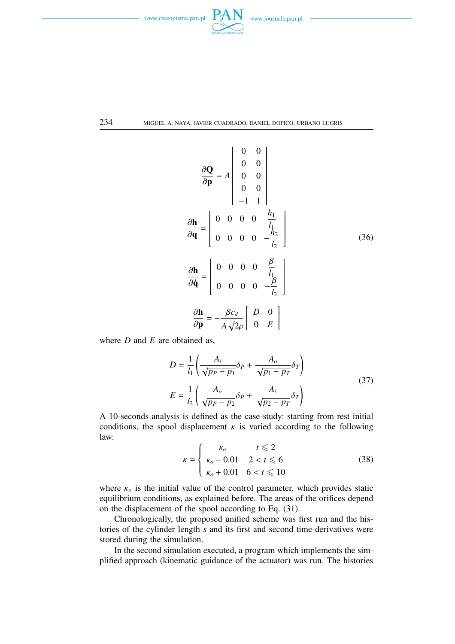



$$
\frac{\partial \mathbf{Q}}{\partial \mathbf{p}} = A \begin{bmatrix} 0 & 0 \\ 0 & 0 \\ 0 & 0 \\ 0 & 0 \\ -1 & 1 \end{bmatrix}
$$

$$
\frac{\partial \mathbf{h}}{\partial \mathbf{q}} = \begin{bmatrix} 0 & 0 & 0 & 0 & \frac{h_1}{l_1} \\ 0 & 0 & 0 & 0 & -\frac{h_2}{l_2} \end{bmatrix}
$$
(36)
$$
\frac{\partial \mathbf{h}}{\partial \mathbf{\dot{q}}} = \begin{bmatrix} 0 & 0 & 0 & 0 & \frac{\beta}{l_1} \\ 0 & 0 & 0 & 0 & -\frac{\beta}{l_2} \end{bmatrix}
$$

$$
\frac{\partial \mathbf{h}}{\partial \mathbf{\dot{p}}} = -\frac{\beta c_d}{A \sqrt{2\rho}} \begin{bmatrix} D & 0 \\ 0 & E \end{bmatrix}
$$

where *D* and *E* are obtained as,

$$
D = \frac{1}{l_1} \left( \frac{A_i}{\sqrt{p_P - p_1}} \delta_P + \frac{A_o}{\sqrt{p_1 - p_T}} \delta_T \right)
$$
  

$$
E = \frac{1}{l_2} \left( \frac{A_o}{\sqrt{p_P - p_2}} \delta_P + \frac{A_i}{\sqrt{p_2 - p_T}} \delta_T \right)
$$
(37)

A 10-seconds analysis is defined as the case-study: starting from rest initial conditions, the spool displacement  $\kappa$  is varied according to the following law:  $\overline{a}$ 

$$
\kappa = \begin{cases}\n\kappa_o & t \le 2 \\
\kappa_o - 0.01 & 2 < t \le 6 \\
\kappa_o + 0.01 & 6 < t \le 10\n\end{cases}
$$
\n(38)

where  $\kappa_o$  is the initial value of the control parameter, which provides static equilibrium conditions, as explained before. The areas of the orifices depend on the displacement of the spool according to Eq. (31).

Chronologically, the proposed unified scheme was first run and the histories of the cylinder length *s* and its first and second time-derivatives were stored during the simulation.

In the second simulation executed, a program which implements the simplified approach (kinematic guidance of the actuator) was run. The histories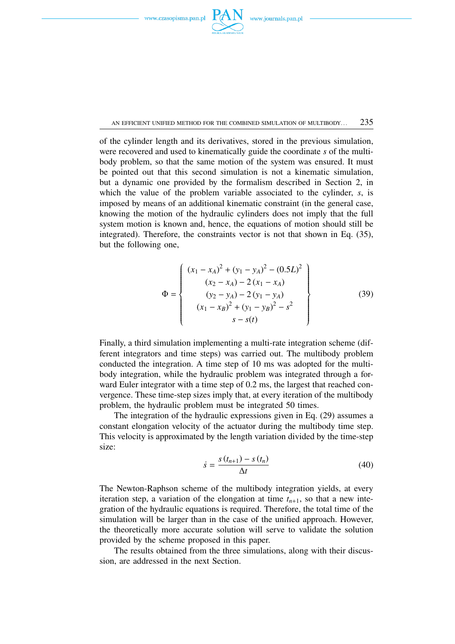

AN EFFICIENT UNIFIED METHOD FOR THE COMBINED SIMULATION OF MULTIBODY...  $235$ 

of the cylinder length and its derivatives, stored in the previous simulation, were recovered and used to kinematically guide the coordinate *s* of the multibody problem, so that the same motion of the system was ensured. It must be pointed out that this second simulation is not a kinematic simulation, but a dynamic one provided by the formalism described in Section 2, in which the value of the problem variable associated to the cylinder, *s*, is imposed by means of an additional kinematic constraint (in the general case, knowing the motion of the hydraulic cylinders does not imply that the full system motion is known and, hence, the equations of motion should still be integrated). Therefore, the constraints vector is not that shown in Eq. (35), but the following one,

$$
\Phi = \begin{cases}\n(x_1 - x_A)^2 + (y_1 - y_A)^2 - (0.5L)^2 \\
(x_2 - x_A) - 2(x_1 - x_A) \\
(y_2 - y_A) - 2(y_1 - y_A) \\
(x_1 - x_B)^2 + (y_1 - y_B)^2 - s^2 \\
s - s(t)\n\end{cases}
$$
\n(39)

Finally, a third simulation implementing a multi-rate integration scheme (different integrators and time steps) was carried out. The multibody problem conducted the integration. A time step of 10 ms was adopted for the multibody integration, while the hydraulic problem was integrated through a forward Euler integrator with a time step of 0.2 ms, the largest that reached convergence. These time-step sizes imply that, at every iteration of the multibody problem, the hydraulic problem must be integrated 50 times.

The integration of the hydraulic expressions given in Eq. (29) assumes a constant elongation velocity of the actuator during the multibody time step. This velocity is approximated by the length variation divided by the time-step size:

$$
\dot{s} = \frac{s(t_{n+1}) - s(t_n)}{\Delta t} \tag{40}
$$

The Newton-Raphson scheme of the multibody integration yields, at every iteration step, a variation of the elongation at time  $t_{n+1}$ , so that a new integration of the hydraulic equations is required. Therefore, the total time of the simulation will be larger than in the case of the unified approach. However, the theoretically more accurate solution will serve to validate the solution provided by the scheme proposed in this paper.

The results obtained from the three simulations, along with their discussion, are addressed in the next Section.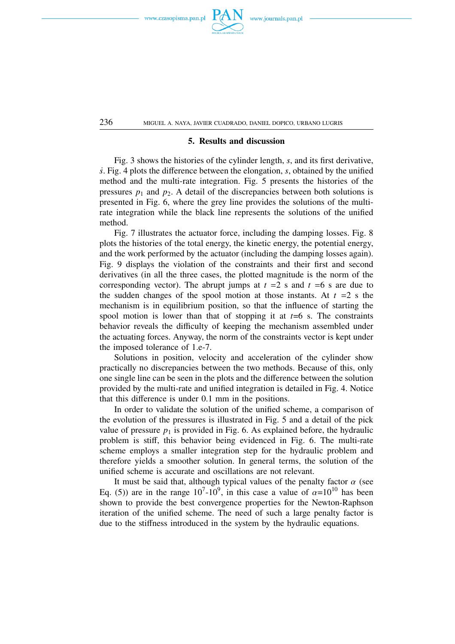

# **5. Results and discussion**

Fig. 3 shows the histories of the cylinder length, *s*, and its first derivative, *s*˙. Fig. 4 plots the difference between the elongation, *s*, obtained by the unified method and the multi-rate integration. Fig. 5 presents the histories of the pressures  $p_1$  and  $p_2$ . A detail of the discrepancies between both solutions is presented in Fig. 6, where the grey line provides the solutions of the multirate integration while the black line represents the solutions of the unified method.

Fig. 7 illustrates the actuator force, including the damping losses. Fig. 8 plots the histories of the total energy, the kinetic energy, the potential energy, and the work performed by the actuator (including the damping losses again). Fig. 9 displays the violation of the constraints and their first and second derivatives (in all the three cases, the plotted magnitude is the norm of the corresponding vector). The abrupt jumps at  $t = 2$  s and  $t = 6$  s are due to the sudden changes of the spool motion at those instants. At  $t = 2$  s the mechanism is in equilibrium position, so that the influence of starting the spool motion is lower than that of stopping it at  $t=6$  s. The constraints behavior reveals the difficulty of keeping the mechanism assembled under the actuating forces. Anyway, the norm of the constraints vector is kept under the imposed tolerance of 1.e-7.

Solutions in position, velocity and acceleration of the cylinder show practically no discrepancies between the two methods. Because of this, only one single line can be seen in the plots and the difference between the solution provided by the multi-rate and unified integration is detailed in Fig. 4. Notice that this difference is under 0.1 mm in the positions.

In order to validate the solution of the unified scheme, a comparison of the evolution of the pressures is illustrated in Fig. 5 and a detail of the pick value of pressure  $p_1$  is provided in Fig. 6. As explained before, the hydraulic problem is stiff, this behavior being evidenced in Fig. 6. The multi-rate scheme employs a smaller integration step for the hydraulic problem and therefore yields a smoother solution. In general terms, the solution of the unified scheme is accurate and oscillations are not relevant.

It must be said that, although typical values of the penalty factor  $\alpha$  (see Eq. (5)) are in the range  $10^7 \text{--} 10^9$ , in this case a value of  $\alpha = 10^{10}$  has been shown to provide the best convergence properties for the Newton-Raphson iteration of the unified scheme. The need of such a large penalty factor is due to the stiffness introduced in the system by the hydraulic equations.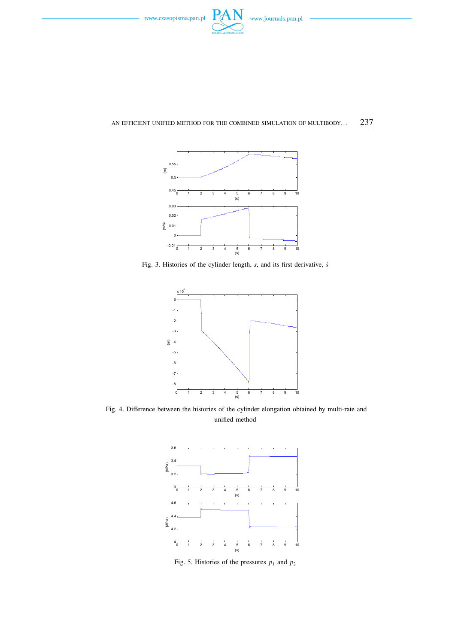



Fig. 3. Histories of the cylinder length, *s*, and its first derivative, *i*s



Fig. 4. Difference between the histories of the cylinder elongation obtained by multi-rate and unified method



Fig. 5. Histories of the pressures  $p_1$  and  $p_2$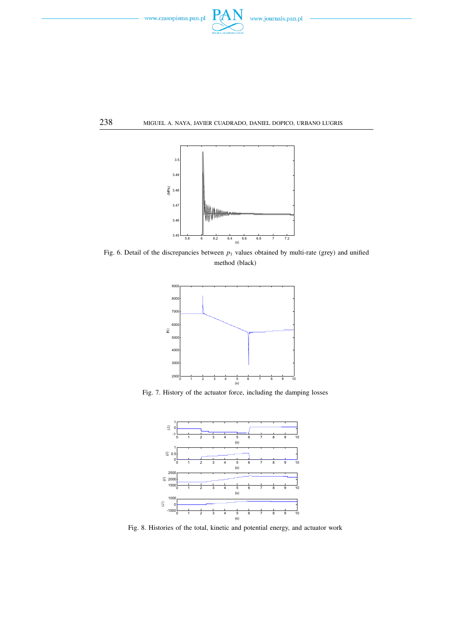



Fig. 6. Detail of the discrepancies between  $p_1$  values obtained by multi-rate (grey) and unified method (black)



Fig. 7. History of the actuator force, including the damping losses



Fig. 8. Histories of the total, kinetic and potential energy, and actuator work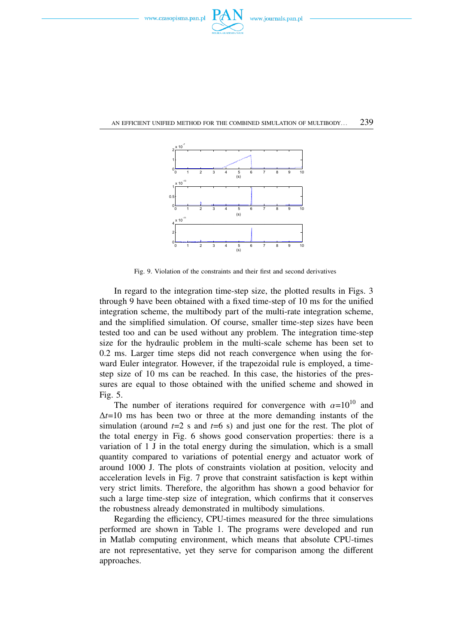

0 2





AN EFFICIENT UNIFIED METHOD FOR THE COMBINED SIMULATION OF MULTIBODY... 239

Fig. 9. Violation of the constraints and their first and second derivatives

0 1 2 3 4 5 6 7 8 9 10

(s)

In regard to the integration time-step size, the plotted results in Figs. 3 through 9 have been obtained with a fixed time-step of 10 ms for the unified integration scheme, the multibody part of the multi-rate integration scheme, and the simplified simulation. Of course, smaller time-step sizes have been tested too and can be used without any problem. The integration time-step size for the hydraulic problem in the multi-scale scheme has been set to 0.2 ms. Larger time steps did not reach convergence when using the forward Euler integrator. However, if the trapezoidal rule is employed, a timestep size of 10 ms can be reached. In this case, the histories of the pressures are equal to those obtained with the unified scheme and showed in Fig. 5.

The number of iterations required for convergence with  $\alpha=10^{10}$  and ∆*t*=10 ms has been two or three at the more demanding instants of the simulation (around  $t=2$  s and  $t=6$  s) and just one for the rest. The plot of the total energy in Fig. 6 shows good conservation properties: there is a variation of 1 J in the total energy during the simulation, which is a small quantity compared to variations of potential energy and actuator work of around 1000 J. The plots of constraints violation at position, velocity and acceleration levels in Fig. 7 prove that constraint satisfaction is kept within very strict limits. Therefore, the algorithm has shown a good behavior for such a large time-step size of integration, which confirms that it conserves the robustness already demonstrated in multibody simulations.

Regarding the efficiency, CPU-times measured for the three simulations performed are shown in Table 1. The programs were developed and run in Matlab computing environment, which means that absolute CPU-times are not representative, yet they serve for comparison among the different approaches.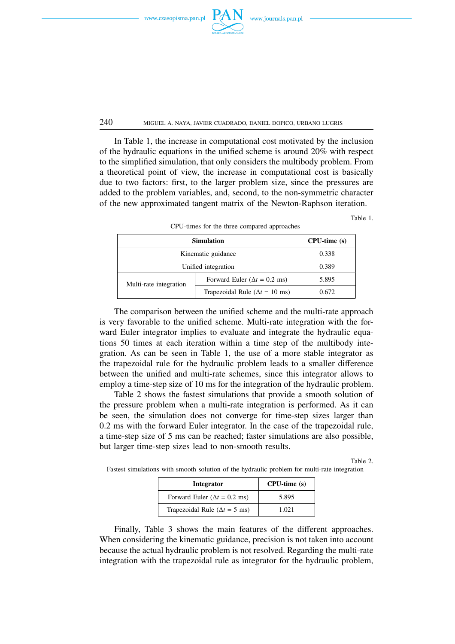

### 240 MIGUEL A. NAYA, JAVIER CUADRADO, DANIEL DOPICO, URBANO LUGRIS

In Table 1, the increase in computational cost motivated by the inclusion of the hydraulic equations in the unified scheme is around 20% with respect to the simplified simulation, that only considers the multibody problem. From a theoretical point of view, the increase in computational cost is basically due to two factors: first, to the larger problem size, since the pressures are added to the problem variables, and, second, to the non-symmetric character of the new approximated tangent matrix of the Newton-Raphson iteration.

Table 1.

| <b>Simulation</b>      |                                        | $CPU-time(s)$ |  |  |
|------------------------|----------------------------------------|---------------|--|--|
| Kinematic guidance     |                                        | 0.338         |  |  |
| Unified integration    |                                        | 0.389         |  |  |
| Multi-rate integration | Forward Euler ( $\Delta t = 0.2$ ms)   | 5.895         |  |  |
|                        | Trapezoidal Rule ( $\Delta t = 10$ ms) | 0.672         |  |  |

CPU-times for the three compared approaches

The comparison between the unified scheme and the multi-rate approach is very favorable to the unified scheme. Multi-rate integration with the forward Euler integrator implies to evaluate and integrate the hydraulic equations 50 times at each iteration within a time step of the multibody integration. As can be seen in Table 1, the use of a more stable integrator as the trapezoidal rule for the hydraulic problem leads to a smaller difference between the unified and multi-rate schemes, since this integrator allows to employ a time-step size of 10 ms for the integration of the hydraulic problem.

Table 2 shows the fastest simulations that provide a smooth solution of the pressure problem when a multi-rate integration is performed. As it can be seen, the simulation does not converge for time-step sizes larger than 0.2 ms with the forward Euler integrator. In the case of the trapezoidal rule, a time-step size of 5 ms can be reached; faster simulations are also possible, but larger time-step sizes lead to non-smooth results.

Table 2.

Fastest simulations with smooth solution of the hydraulic problem for multi-rate integration

| Integrator                            | $CPU-time(s)$ |  |  |
|---------------------------------------|---------------|--|--|
| Forward Euler ( $\Delta t = 0.2$ ms)  | 5.895         |  |  |
| Trapezoidal Rule ( $\Delta t = 5$ ms) | 1.021         |  |  |

Finally, Table 3 shows the main features of the different approaches. When considering the kinematic guidance, precision is not taken into account because the actual hydraulic problem is not resolved. Regarding the multi-rate integration with the trapezoidal rule as integrator for the hydraulic problem,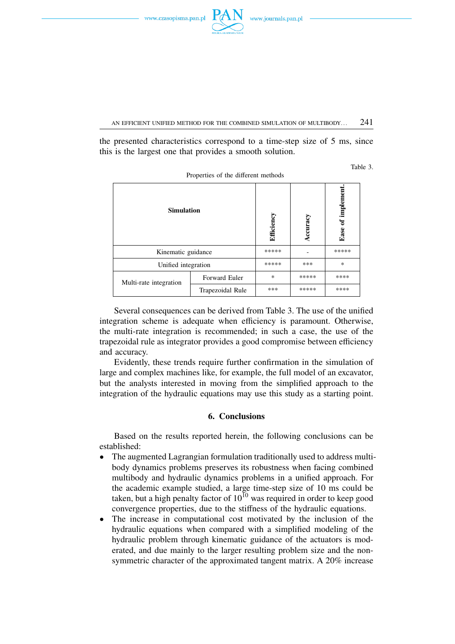

AN EFFICIENT UNIFIED METHOD FOR THE COMBINED SIMULATION OF MULTIBODY...  $241$ 

the presented characteristics correspond to a time-step size of 5 ms, since this is the largest one that provides a smooth solution.

Table 3.

| <b>Simulation</b>      |                  | Efficiency | ccuracy | of implemen<br>Ease |
|------------------------|------------------|------------|---------|---------------------|
| Kinematic guidance     |                  | *****      |         | *****               |
| Unified integration    |                  | *****      | ***     | $\ast$              |
| Multi-rate integration | Forward Euler    | $\ast$     | *****   | ****                |
|                        | Trapezoidal Rule | ***        | *****   | ****                |

Properties of the different methods

Several consequences can be derived from Table 3. The use of the unified integration scheme is adequate when efficiency is paramount. Otherwise, the multi-rate integration is recommended; in such a case, the use of the trapezoidal rule as integrator provides a good compromise between efficiency and accuracy.

Evidently, these trends require further confirmation in the simulation of large and complex machines like, for example, the full model of an excavator, but the analysts interested in moving from the simplified approach to the integration of the hydraulic equations may use this study as a starting point.

# **6. Conclusions**

Based on the results reported herein, the following conclusions can be established:

- The augmented Lagrangian formulation traditionally used to address multibody dynamics problems preserves its robustness when facing combined multibody and hydraulic dynamics problems in a unified approach. For the academic example studied, a large time-step size of 10 ms could be taken, but a high penalty factor of  $10^{10}$  was required in order to keep good convergence properties, due to the stiffness of the hydraulic equations.
- The increase in computational cost motivated by the inclusion of the hydraulic equations when compared with a simplified modeling of the hydraulic problem through kinematic guidance of the actuators is moderated, and due mainly to the larger resulting problem size and the nonsymmetric character of the approximated tangent matrix. A 20% increase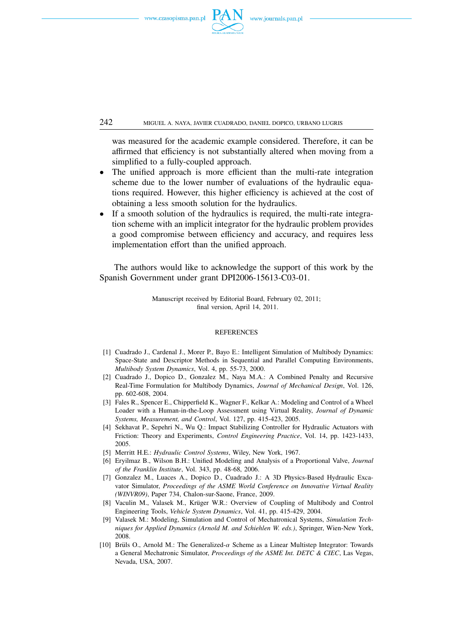

242 MIGUEL A. NAYA, JAVIER CUADRADO, DANIEL DOPICO, URBANO LUGRIS

was measured for the academic example considered. Therefore, it can be affirmed that efficiency is not substantially altered when moving from a simplified to a fully-coupled approach.

- The unified approach is more efficient than the multi-rate integration scheme due to the lower number of evaluations of the hydraulic equations required. However, this higher efficiency is achieved at the cost of obtaining a less smooth solution for the hydraulics.
- If a smooth solution of the hydraulics is required, the multi-rate integration scheme with an implicit integrator for the hydraulic problem provides a good compromise between efficiency and accuracy, and requires less implementation effort than the unified approach.

The authors would like to acknowledge the support of this work by the Spanish Government under grant DPI2006-15613-C03-01.

> Manuscript received by Editorial Board, February 02, 2011; final version, April 14, 2011.

#### **REFERENCES**

- [1] Cuadrado J., Cardenal J., Morer P., Bayo E.: Intelligent Simulation of Multibody Dynamics: Space-State and Descriptor Methods in Sequential and Parallel Computing Environments, *Multibody System Dynamics*, Vol. 4, pp. 55-73, 2000.
- [2] Cuadrado J., Dopico D., Gonzalez M., Naya M.A.: A Combined Penalty and Recursive Real-Time Formulation for Multibody Dynamics, *Journal of Mechanical Design*, Vol. 126, pp. 602-608, 2004.
- [3] Fales R., Spencer E., Chipperfield K., Wagner F., Kelkar A.: Modeling and Control of a Wheel Loader with a Human-in-the-Loop Assessment using Virtual Reality, *Journal of Dynamic Systems, Measurement, and Control*, Vol. 127, pp. 415-423, 2005.
- [4] Sekhavat P., Sepehri N., Wu Q.: Impact Stabilizing Controller for Hydraulic Actuators with Friction: Theory and Experiments, *Control Engineering Practice*, Vol. 14, pp. 1423-1433, 2005.
- [5] Merritt H.E.: *Hydraulic Control Systems*, Wiley, New York, 1967.
- [6] Eryilmaz B., Wilson B.H.: Unified Modeling and Analysis of a Proportional Valve, *Journal of the Franklin Institute*, Vol. 343, pp. 48-68, 2006.
- [7] Gonzalez M., Luaces A., Dopico D., Cuadrado J.: A 3D Physics-Based Hydraulic Excavator Simulator, *Proceedings of the ASME World Conference on Innovative Virtual Reality (WINVR09)*, Paper 734, Chalon-sur-Saone, France, 2009.
- [8] Vaculin M., Valasek M., Krüger W.R.: Overview of Coupling of Multibody and Control Engineering Tools, *Vehicle System Dynamics*, Vol. 41, pp. 415-429, 2004.
- [9] Valasek M.: Modeling, Simulation and Control of Mechatronical Systems, *Simulation Techniques for Applied Dynamics (Arnold M. and Schiehlen W. eds.)*, Springer, Wien-New York, 2008.
- [10] Brüls O., Arnold M.: The Generalized- $\alpha$  Scheme as a Linear Multistep Integrator: Towards a General Mechatronic Simulator, *Proceedings of the ASME Int. DETC & CIEC*, Las Vegas, Nevada, USA, 2007.